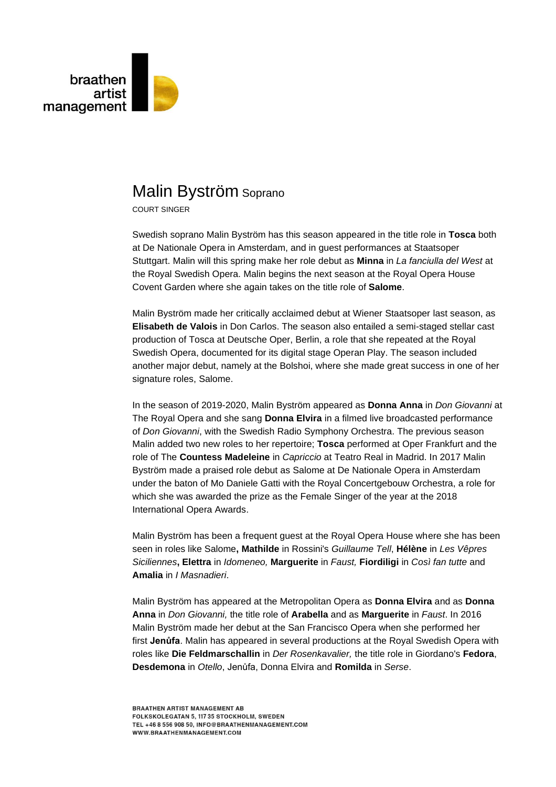

## Malin Byström Soprano

COURT SINGER

Swedish soprano Malin Byström has this season appeared in the title role in **Tosca** both at De Nationale Opera in Amsterdam, and in guest performances at Staatsoper Stuttgart. Malin will this spring make her role debut as **Minna** in *La fanciulla del West* at the Royal Swedish Opera. Malin begins the next season at the Royal Opera House Covent Garden where she again takes on the title role of **Salome**.

Malin Byström made her critically acclaimed debut at Wiener Staatsoper last season, as **Elisabeth de Valois** in Don Carlos. The season also entailed a semi-staged stellar cast production of Tosca at Deutsche Oper, Berlin, a role that she repeated at the Royal Swedish Opera, documented for its digital stage Operan Play. The season included another major debut, namely at the Bolshoi, where she made great success in one of her signature roles, Salome.

In the season of 2019-2020, Malin Byström appeared as **Donna Anna** in *Don Giovanni* at The Royal Opera and she sang **Donna Elvira** in a filmed live broadcasted performance of *Don Giovanni*, with the Swedish Radio Symphony Orchestra. The previous season Malin added two new roles to her repertoire; **Tosca** performed at Oper Frankfurt and the role of The **Countess Madeleine** in *Capriccio* at Teatro Real in Madrid. In 2017 Malin Byström made a praised role debut as Salome at De Nationale Opera in Amsterdam under the baton of Mo Daniele Gatti with the Royal Concertgebouw Orchestra, a role for which she was awarded the prize as the Female Singer of the year at the 2018 International Opera Awards.

Malin Byström has been a frequent guest at the Royal Opera House where she has been seen in roles like Salome**, Mathilde** in Rossini's *Guillaume Tell*, **Hélène** in *Les Vêpres Siciliennes***, Elettra** in *Idomeneo,* **Marguerite** in *Faust,* **Fiordiligi** in *Così fan tutte* and **Amalia** in *I Masnadieri*.

Malin Byström has appeared at the Metropolitan Opera as **Donna Elvira** and as **Donna Anna** in *Don Giovanni,* the title role of **Arabella** and as **Marguerite** in *Faust*. In 2016 Malin Byström made her debut at the San Francisco Opera when she performed her first **Jenůfa**. Malin has appeared in several productions at the Royal Swedish Opera with roles like **Die Feldmarschallin** in *Der Rosenkavalier,* the title role in Giordano's **Fedora**, **Desdemona** in *Otello*, Jenůfa, Donna Elvira and **Romilda** in *Serse*.

**BRAATHEN ARTIST MANAGEMENT AB** FOLKSKOLEGATAN 5, 117 35 STOCKHOLM, SWEDEN TEL +46 8 556 908 50, INFO@BRAATHENMANAGEMENT.COM WWW.BRAATHENMANAGEMENT.COM